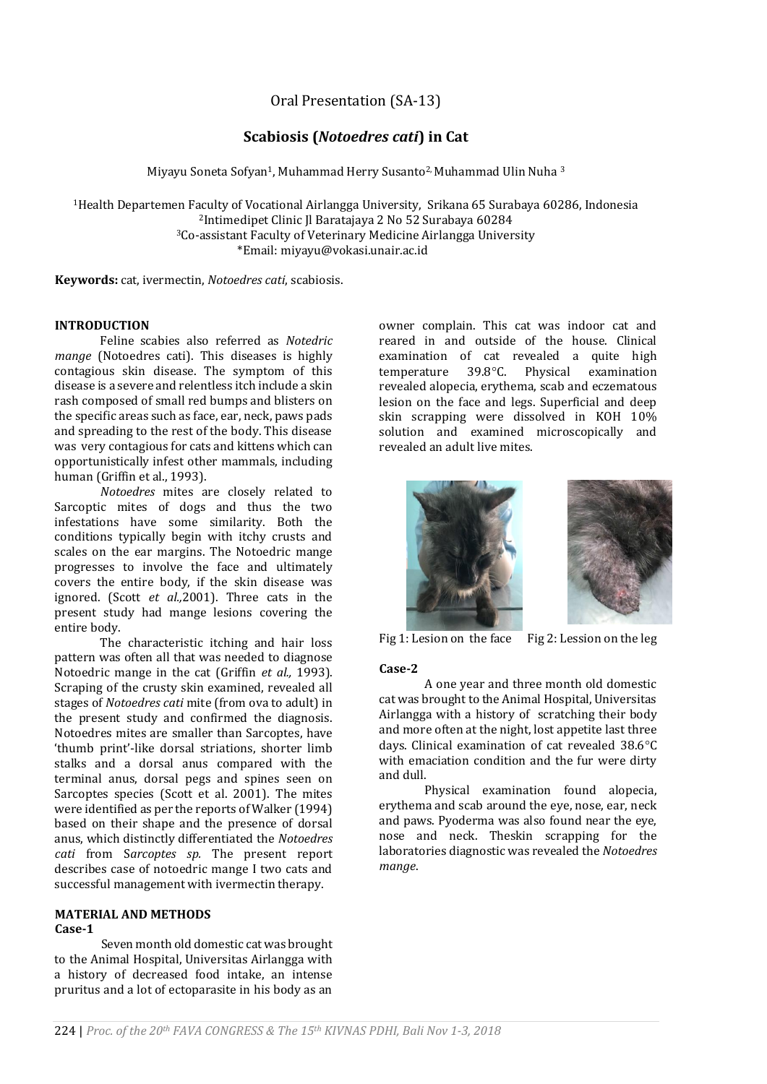Oral Presentation (SA-13)

# **Scabiosis (***Notoedres cati***) in Cat**

Miyayu Soneta Sofyan1, Muhammad Herry Susanto2, Muhammad Ulin Nuha <sup>3</sup>

Health Departemen Faculty of Vocational Airlangga University, Srikana 65 Surabaya 60286, Indonesia Intimedipet Clinic Jl Baratajaya 2 No 52 Surabaya 60284 Co-assistant Faculty of Veterinary Medicine Airlangga University \*Email: miyayu@vokasi.unair.ac.id

**Keywords:** cat, ivermectin, *Notoedres cati*, scabiosis.

#### **INTRODUCTION**

Feline scabies also referred as *Notedric mange* (Notoedres cati). This diseases is highly contagious skin disease. The symptom of this disease is a severe and relentless itch include a skin rash composed of small red bumps and blisters on the specific areas such as face, ear, neck, paws pads and spreading to the rest of the body. This disease was very contagious for cats and kittens which can opportunistically infest other mammals, including human (Griffin et al., 1993).

*Notoedres* mites are closely related to Sarcoptic mites of dogs and thus the two infestations have some similarity. Both the conditions typically begin with itchy crusts and scales on the ear margins. The Notoedric mange progresses to involve the face and ultimately covers the entire body, if the skin disease was ignored. (Scott *et al.,*2001). Three cats in the present study had mange lesions covering the entire body.

The characteristic itching and hair loss pattern was often all that was needed to diagnose Notoedric mange in the cat (Griffin *et al.,* 1993). Scraping of the crusty skin examined, revealed all stages of *Notoedres cati* mite (from ova to adult) in the present study and confirmed the diagnosis. Notoedres mites are smaller than Sarcoptes, have 'thumb print'-like dorsal striations, shorter limb stalks and a dorsal anus compared with the terminal anus, dorsal pegs and spines seen on Sarcoptes species (Scott et al. 2001). The mites were identified as per the reports of Walker (1994) based on their shape and the presence of dorsal anus, which distinctly differentiated the *Notoedres cati* from S*arcoptes sp.* The present report describes case of notoedric mange I two cats and successful management with ivermectin therapy.

#### **MATERIAL AND METHODS Case-1**

Seven month old domestic cat was brought to the Animal Hospital, Universitas Airlangga with a history of decreased food intake, an intense pruritus and a lot of ectoparasite in his body as an owner complain. This cat was indoor cat and reared in and outside of the house. Clinical examination of cat revealed a quite high temperature 39.8°C. Physical examination revealed alopecia, erythema, scab and eczematous lesion on the face and legs. Superficial and deep skin scrapping were dissolved in KOH 10% solution and examined microscopically and revealed an adult live mites.



Fig 1: Lesion on the face Fig 2: Lession on the leg

## **Case-2**

A one year and three month old domestic cat was brought to the Animal Hospital, Universitas Airlangga with a history of scratching their body and more often at the night, lost appetite last three days. Clinical examination of cat revealed  $38.6^{\circ}$ C with emaciation condition and the fur were dirty and dull.

Physical examination found alopecia, erythema and scab around the eye, nose, ear, neck and paws. Pyoderma was also found near the eye, nose and neck. Theskin scrapping for the laboratories diagnostic was revealed the *Notoedres mange*.